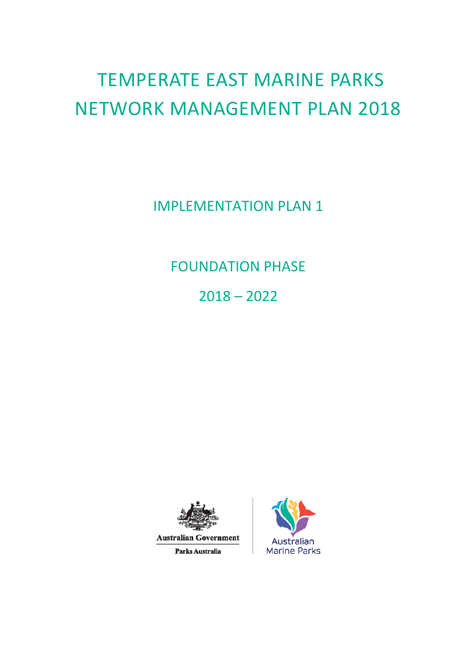# TEMPERATE EAST MARINE PARKS NETWORK MANAGEMENT PLAN 2018

IMPLEMENTATION PLAN 1

FOUNDATION PHASE

2018 – 2022



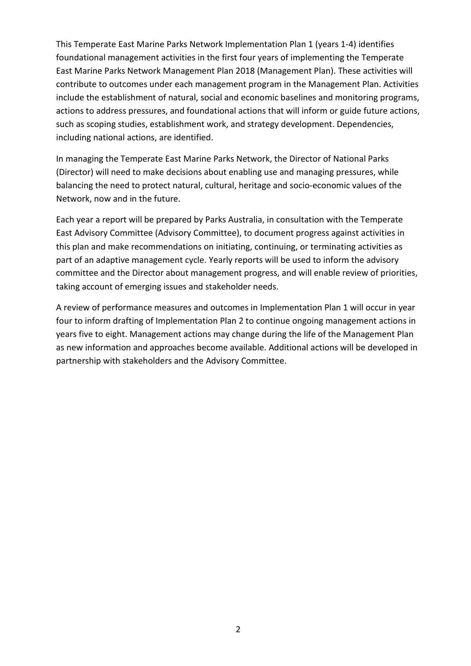This Temperate East Marine Parks Network Implementation Plan 1 (years 1-4) identifies foundational management activities in the first four years of implementing the Temperate East Marine Parks Network Management Plan 2018 (Management Plan). These activities will contribute to outcomes under each management program in the Management Plan. Activities include the establishment of natural, social and economic baselines and monitoring programs, actions to address pressures, and foundational actions that will inform or guide future actions, such as scoping studies, establishment work, and strategy development. Dependencies, including national actions, are identified.

In managing the Temperate East Marine Parks Network, the Director of National Parks (Director) will need to make decisions about enabling use and managing pressures, while balancing the need to protect natural, cultural, heritage and socio-economic values of the Network, now and in the future.

Each year a report will be prepared by Parks Australia, in consultation with the Temperate East Advisory Committee (Advisory Committee), to document progress against activities in this plan and make recommendations on initiating, continuing, or terminating activities as part of an adaptive management cycle. Yearly reports will be used to inform the advisory committee and the Director about management progress, and will enable review of priorities, taking account of emerging issues and stakeholder needs.

A review of performance measures and outcomes in Implementation Plan 1 will occur in year four to inform drafting of Implementation Plan 2 to continue ongoing management actions in years five to eight. Management actions may change during the life of the Management Plan as new information and approaches become available. Additional actions will be developed in partnership with stakeholders and the Advisory Committee.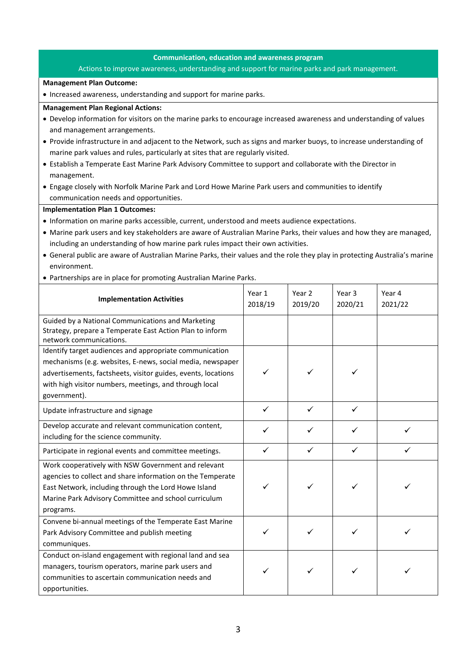# **Communication, education and awareness program**

### Actions to improve awareness, understanding and support for marine parks and park management.

#### **Management Plan Outcome:**

• Increased awareness, understanding and support for marine parks.

#### **Management Plan Regional Actions:**

- Develop information for visitors on the marine parks to encourage increased awareness and understanding of values and management arrangements.
- Provide infrastructure in and adjacent to the Network, such as signs and marker buoys, to increase understanding of marine park values and rules, particularly at sites that are regularly visited.
- Establish a Temperate East Marine Park Advisory Committee to support and collaborate with the Director in management.
- Engage closely with Norfolk Marine Park and Lord Howe Marine Park users and communities to identify communication needs and opportunities.

- Information on marine parks accessible, current, understood and meets audience expectations.
- Marine park users and key stakeholders are aware of Australian Marine Parks, their values and how they are managed, including an understanding of how marine park rules impact their own activities.
- General public are aware of Australian Marine Parks, their values and the role they play in protecting Australia's marine environment.
- Partnerships are in place for promoting Australian Marine Parks.

| <b>Implementation Activities</b>                                                                                                                                                                                                                                 | Year 1<br>2018/19 | Year 2<br>2019/20 | Year 3<br>2020/21 | Year 4<br>2021/22 |
|------------------------------------------------------------------------------------------------------------------------------------------------------------------------------------------------------------------------------------------------------------------|-------------------|-------------------|-------------------|-------------------|
| Guided by a National Communications and Marketing<br>Strategy, prepare a Temperate East Action Plan to inform<br>network communications.                                                                                                                         |                   |                   |                   |                   |
| Identify target audiences and appropriate communication<br>mechanisms (e.g. websites, E-news, social media, newspaper<br>advertisements, factsheets, visitor guides, events, locations<br>with high visitor numbers, meetings, and through local<br>government). | ✓                 | ✓                 | ✓                 |                   |
| Update infrastructure and signage                                                                                                                                                                                                                                | ✓                 | $\checkmark$      | $\checkmark$      |                   |
| Develop accurate and relevant communication content,<br>including for the science community.                                                                                                                                                                     | ✓                 | ✓                 | ✓                 |                   |
| Participate in regional events and committee meetings.                                                                                                                                                                                                           | $\checkmark$      | $\checkmark$      | $\checkmark$      | ✓                 |
| Work cooperatively with NSW Government and relevant<br>agencies to collect and share information on the Temperate<br>East Network, including through the Lord Howe Island<br>Marine Park Advisory Committee and school curriculum<br>programs.                   |                   | ✓                 | ✓                 |                   |
| Convene bi-annual meetings of the Temperate East Marine<br>Park Advisory Committee and publish meeting<br>communiques.                                                                                                                                           | ✓                 | ✓                 |                   |                   |
| Conduct on-island engagement with regional land and sea<br>managers, tourism operators, marine park users and<br>communities to ascertain communication needs and<br>opportunities.                                                                              | ✓                 | ✓                 | ✓                 |                   |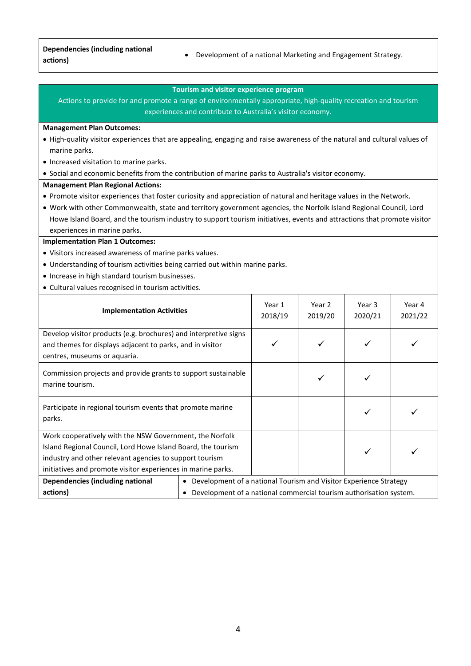|          | Dependencies (including national |
|----------|----------------------------------|
| actions) |                                  |

# **Tourism and visitor experience program**

Actions to provide for and promote a range of environmentally appropriate, high-quality recreation and tourism experiences and contribute to Australia's visitor economy.

#### **Management Plan Outcomes:**

- High-quality visitor experiences that are appealing, engaging and raise awareness of the natural and cultural values of marine parks.
- Increased visitation to marine parks.
- Social and economic benefits from the contribution of marine parks to Australia's visitor economy.

#### **Management Plan Regional Actions:**

- Promote visitor experiences that foster curiosity and appreciation of natural and heritage values in the Network.
- Work with other Commonwealth, state and territory government agencies, the Norfolk Island Regional Council, Lord Howe Island Board, and the tourism industry to support tourism initiatives, events and attractions that promote visitor experiences in marine parks.

- Visitors increased awareness of marine parks values.
- Understanding of tourism activities being carried out within marine parks.
- Increase in high standard tourism businesses.
- Cultural values recognised in tourism activities.

| <b>Implementation Activities</b>                                                                                                                              |                                                                        | Year 1<br>2018/19 | Year 2<br>2019/20 | Year 3<br>2020/21 | Year 4<br>2021/22 |
|---------------------------------------------------------------------------------------------------------------------------------------------------------------|------------------------------------------------------------------------|-------------------|-------------------|-------------------|-------------------|
| Develop visitor products (e.g. brochures) and interpretive signs<br>and themes for displays adjacent to parks, and in visitor<br>centres, museums or aquaria. |                                                                        |                   | ✓                 |                   |                   |
| Commission projects and provide grants to support sustainable<br>marine tourism.                                                                              |                                                                        |                   |                   |                   |                   |
| Participate in regional tourism events that promote marine<br>parks.                                                                                          |                                                                        |                   |                   |                   |                   |
| Work cooperatively with the NSW Government, the Norfolk                                                                                                       |                                                                        |                   |                   |                   |                   |
| Island Regional Council, Lord Howe Island Board, the tourism                                                                                                  |                                                                        |                   |                   |                   |                   |
| industry and other relevant agencies to support tourism                                                                                                       |                                                                        |                   |                   |                   |                   |
| initiatives and promote visitor experiences in marine parks.                                                                                                  |                                                                        |                   |                   |                   |                   |
| Dependencies (including national                                                                                                                              | Development of a national Tourism and Visitor Experience Strategy<br>٠ |                   |                   |                   |                   |
| actions)                                                                                                                                                      | Development of a national commercial tourism authorisation system.     |                   |                   |                   |                   |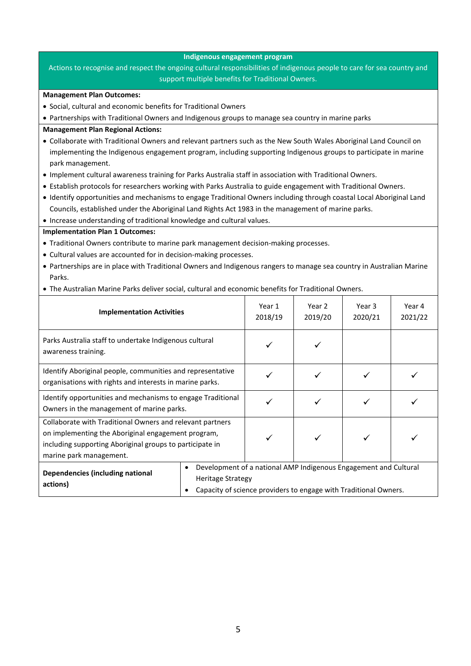# **Indigenous engagement program**

Actions to recognise and respect the ongoing cultural responsibilities of indigenous people to care for sea country and support multiple benefits for Traditional Owners.

#### **Management Plan Outcomes:**

- Social, cultural and economic benefits for Traditional Owners
- Partnerships with Traditional Owners and Indigenous groups to manage sea country in marine parks

# **Management Plan Regional Actions:**

- Collaborate with Traditional Owners and relevant partners such as the New South Wales Aboriginal Land Council on implementing the Indigenous engagement program, including supporting Indigenous groups to participate in marine park management.
- Implement cultural awareness training for Parks Australia staff in association with Traditional Owners.
- Establish protocols for researchers working with Parks Australia to guide engagement with Traditional Owners.
- Identify opportunities and mechanisms to engage Traditional Owners including through coastal Local Aboriginal Land Councils, established under the Aboriginal Land Rights Act 1983 in the management of marine parks.
- Increase understanding of traditional knowledge and cultural values.

- Traditional Owners contribute to marine park management decision-making processes.
- Cultural values are accounted for in decision-making processes.
- Partnerships are in place with Traditional Owners and Indigenous rangers to manage sea country in Australian Marine Parks.
- The Australian Marine Parks deliver social, cultural and economic benefits for Traditional Owners.

| <b>Implementation Activities</b>                                                                                                                                                                       |                                                                                                                                                                  | Year 1<br>2018/19 | Year 2<br>2019/20 | Year 3<br>2020/21 | Year 4<br>2021/22 |
|--------------------------------------------------------------------------------------------------------------------------------------------------------------------------------------------------------|------------------------------------------------------------------------------------------------------------------------------------------------------------------|-------------------|-------------------|-------------------|-------------------|
| Parks Australia staff to undertake Indigenous cultural<br>awareness training.                                                                                                                          |                                                                                                                                                                  |                   |                   |                   |                   |
| Identify Aboriginal people, communities and representative<br>organisations with rights and interests in marine parks.                                                                                 |                                                                                                                                                                  |                   |                   |                   |                   |
| Identify opportunities and mechanisms to engage Traditional<br>Owners in the management of marine parks.                                                                                               |                                                                                                                                                                  |                   |                   |                   |                   |
| Collaborate with Traditional Owners and relevant partners<br>on implementing the Aboriginal engagement program,<br>including supporting Aboriginal groups to participate in<br>marine park management. |                                                                                                                                                                  |                   |                   |                   |                   |
| Dependencies (including national<br>actions)                                                                                                                                                           | Development of a national AMP Indigenous Engagement and Cultural<br><b>Heritage Strategy</b><br>Capacity of science providers to engage with Traditional Owners. |                   |                   |                   |                   |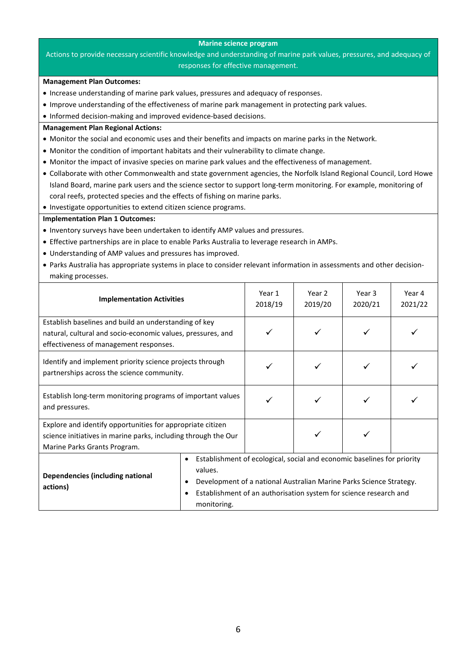#### **Marine science program**

# Actions to provide necessary scientific knowledge and understanding of marine park values, pressures, and adequacy of responses for effective management.

# **Management Plan Outcomes:**

- Increase understanding of marine park values, pressures and adequacy of responses.
- Improve understanding of the effectiveness of marine park management in protecting park values.
- Informed decision-making and improved evidence-based decisions.

# **Management Plan Regional Actions:**

- Monitor the social and economic uses and their benefits and impacts on marine parks in the Network.
- Monitor the condition of important habitats and their vulnerability to climate change.
- Monitor the impact of invasive species on marine park values and the effectiveness of management.
- Collaborate with other Commonwealth and state government agencies, the Norfolk Island Regional Council, Lord Howe Island Board, marine park users and the science sector to support long-term monitoring. For example, monitoring of coral reefs, protected species and the effects of fishing on marine parks.

• Investigate opportunities to extend citizen science programs.

- Inventory surveys have been undertaken to identify AMP values and pressures.
- Effective partnerships are in place to enable Parks Australia to leverage research in AMPs.
- Understanding of AMP values and pressures has improved.
- Parks Australia has appropriate systems in place to consider relevant information in assessments and other decisionmaking processes.

| <b>Implementation Activities</b>                                                                                                                               |                                                                                                                                                                                                                                                                      | Year 1<br>2018/19 | Year 2<br>2019/20 | Year 3<br>2020/21 | Year 4<br>2021/22 |
|----------------------------------------------------------------------------------------------------------------------------------------------------------------|----------------------------------------------------------------------------------------------------------------------------------------------------------------------------------------------------------------------------------------------------------------------|-------------------|-------------------|-------------------|-------------------|
| Establish baselines and build an understanding of key<br>natural, cultural and socio-economic values, pressures, and<br>effectiveness of management responses. |                                                                                                                                                                                                                                                                      |                   |                   |                   |                   |
| Identify and implement priority science projects through<br>partnerships across the science community.                                                         |                                                                                                                                                                                                                                                                      |                   |                   |                   |                   |
| Establish long-term monitoring programs of important values<br>and pressures.                                                                                  |                                                                                                                                                                                                                                                                      |                   |                   |                   |                   |
| Explore and identify opportunities for appropriate citizen<br>science initiatives in marine parks, including through the Our<br>Marine Parks Grants Program.   |                                                                                                                                                                                                                                                                      |                   |                   |                   |                   |
| Dependencies (including national<br>actions)                                                                                                                   | Establishment of ecological, social and economic baselines for priority<br>٠<br>values.<br>Development of a national Australian Marine Parks Science Strategy.<br>٠<br>Establishment of an authorisation system for science research and<br>$\bullet$<br>monitoring. |                   |                   |                   |                   |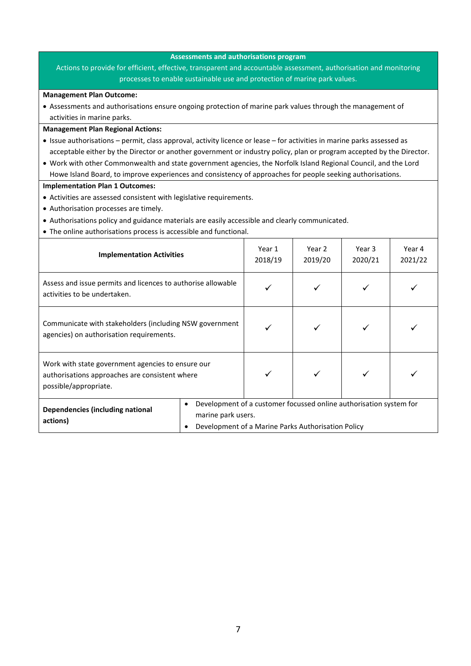## **Assessments and authorisations program**

Actions to provide for efficient, effective, transparent and accountable assessment, authorisation and monitoring processes to enable sustainable use and protection of marine park values.

#### **Management Plan Outcome:**

• Assessments and authorisations ensure ongoing protection of marine park values through the management of activities in marine parks.

#### **Management Plan Regional Actions:**

- Issue authorisations permit, class approval, activity licence or lease for activities in marine parks assessed as acceptable either by the Director or another government or industry policy, plan or program accepted by the Director.
- Work with other Commonwealth and state government agencies, the Norfolk Island Regional Council, and the Lord Howe Island Board, to improve experiences and consistency of approaches for people seeking authorisations.

- Activities are assessed consistent with legislative requirements.
- Authorisation processes are timely.
- Authorisations policy and guidance materials are easily accessible and clearly communicated.
- The online authorisations process is accessible and functional.

| <b>Implementation Activities</b>                                                                                             |                                                                                                                                                                  | Year 1<br>2018/19 | Year 2<br>2019/20 | Year 3<br>2020/21 | Year 4<br>2021/22 |
|------------------------------------------------------------------------------------------------------------------------------|------------------------------------------------------------------------------------------------------------------------------------------------------------------|-------------------|-------------------|-------------------|-------------------|
| Assess and issue permits and licences to authorise allowable<br>activities to be undertaken.                                 |                                                                                                                                                                  |                   |                   |                   |                   |
| Communicate with stakeholders (including NSW government<br>agencies) on authorisation requirements.                          |                                                                                                                                                                  |                   |                   |                   |                   |
| Work with state government agencies to ensure our<br>authorisations approaches are consistent where<br>possible/appropriate. |                                                                                                                                                                  |                   |                   |                   |                   |
| Dependencies (including national<br>actions)                                                                                 | Development of a customer focussed online authorisation system for<br>$\bullet$<br>marine park users.<br>Development of a Marine Parks Authorisation Policy<br>٠ |                   |                   |                   |                   |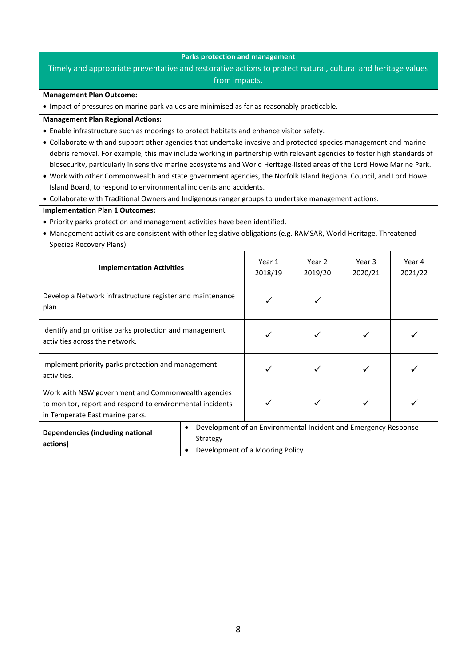# **Parks protection and management**

# Timely and appropriate preventative and restorative actions to protect natural, cultural and heritage values

from impacts.

## **Management Plan Outcome:**

• Impact of pressures on marine park values are minimised as far as reasonably practicable.

# **Management Plan Regional Actions:**

- Enable infrastructure such as moorings to protect habitats and enhance visitor safety.
- Collaborate with and support other agencies that undertake invasive and protected species management and marine debris removal. For example, this may include working in partnership with relevant agencies to foster high standards of biosecurity, particularly in sensitive marine ecosystems and World Heritage-listed areas of the Lord Howe Marine Park.
- Work with other Commonwealth and state government agencies, the Norfolk Island Regional Council, and Lord Howe Island Board, to respond to environmental incidents and accidents.
- Collaborate with Traditional Owners and Indigenous ranger groups to undertake management actions.

- Priority parks protection and management activities have been identified.
- Management activities are consistent with other legislative obligations (e.g. RAMSAR, World Heritage, Threatened Species Recovery Plans)

| <b>Implementation Activities</b>                                                                                                                   |                                 | Year 1<br>2018/19                                               | Year 2<br>2019/20 | Year 3<br>2020/21 | Year 4<br>2021/22 |
|----------------------------------------------------------------------------------------------------------------------------------------------------|---------------------------------|-----------------------------------------------------------------|-------------------|-------------------|-------------------|
| Develop a Network infrastructure register and maintenance<br>plan.                                                                                 |                                 |                                                                 |                   |                   |                   |
| Identify and prioritise parks protection and management<br>activities across the network.                                                          |                                 |                                                                 |                   |                   |                   |
| Implement priority parks protection and management<br>activities.                                                                                  |                                 |                                                                 |                   |                   |                   |
| Work with NSW government and Commonwealth agencies<br>to monitor, report and respond to environmental incidents<br>in Temperate East marine parks. |                                 |                                                                 |                   |                   |                   |
| Dependencies (including national<br>actions)                                                                                                       | Development of a Mooring Policy | Development of an Environmental Incident and Emergency Response |                   |                   |                   |